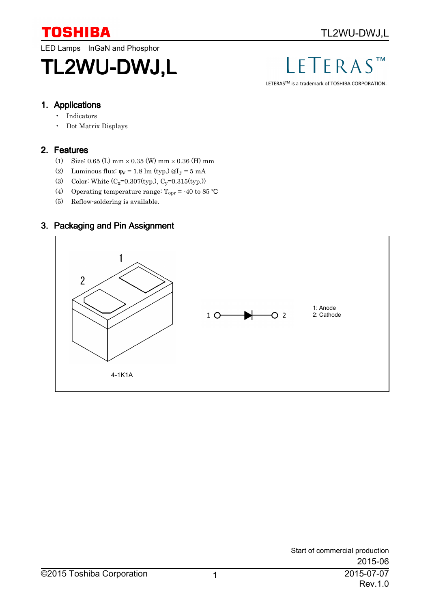

LED Lamps InGaN and Phosphor

# TL2WU-DWJ,L

#### $S<sup>TM</sup>$ LF  $\Gamma$ FRA

LETERAS™ is a trademark of TOSHIBA CORPORATION.

#### 1. Applications

- Indicators
- Dot Matrix Displays

### 2. Features

- (1) Size:  $0.65$  (L) mm  $\times$   $0.35$  (W) mm  $\times$   $0.36$  (H) mm
- (2) Luminous flux:  $\phi$ <sub>V</sub> = 1.8 lm (typ.) @I<sub>F</sub> = 5 mA
- (3) Color: White  $(C_x=0.307(typ.)$ ,  $C_y=0.315(typ.)$
- (4) Operating temperature range:  $T_{\text{opr}}$  = -40 to 85 °C
- (5) Reflow-soldering is available.

## 3. Packaging and Pin Assignment

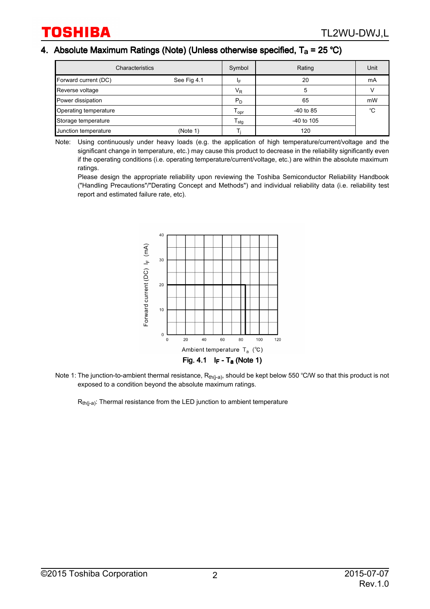### 4. Absolute Maximum Ratings (Note) (Unless otherwise specified,  $T_a$  = 25 °C)

| Characteristics       | Symbol      | Rating                       | Unit         |    |
|-----------------------|-------------|------------------------------|--------------|----|
| Forward current (DC)  | See Fig 4.1 | ΙF                           | 20           | mA |
| Reverse voltage       |             | $V_{R}$                      | 5            |    |
| Power dissipation     |             | $P_D$                        | 65           | mW |
| Operating temperature |             | ${\mathsf T}_{\mathsf{opr}}$ | $-40$ to 85  | °C |
| Storage temperature   |             | $T_{\text{stg}}$             | $-40$ to 105 |    |
| Junction temperature  | (Note 1)    |                              | 120          |    |

Note: Using continuously under heavy loads (e.g. the application of high temperature/current/voltage and the significant change in temperature, etc.) may cause this product to decrease in the reliability significantly even if the operating conditions (i.e. operating temperature/current/voltage, etc.) are within the absolute maximum ratings.

Please design the appropriate reliability upon reviewing the Toshiba Semiconductor Reliability Handbook ("Handling Precautions"/"Derating Concept and Methods") and individual reliability data (i.e. reliability test report and estimated failure rate, etc).



Note 1: The junction-to-ambient thermal resistance,  $R_{th(j-a)}$ , should be kept below 550 °C/W so that this product is not

exposed to a condition beyond the absolute maximum ratings.<br> $R<sub>th(i-a)</sub>: Thermal resistance from the LED junction to ambient temperature$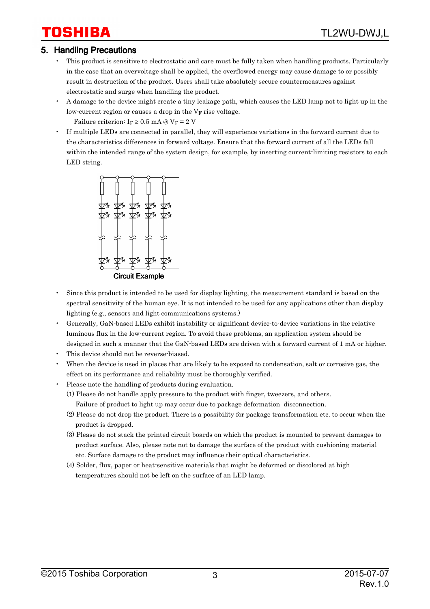# 'OSHIBA

#### 5. Handling Precautions

- This product is sensitive to electrostatic and care must be fully taken when handling products. Particularly in the case that an overvoltage shall be applied, the overflowed energy may cause damage to or possibly result in destruction of the product. Users shall take absolutely secure countermeasures against electrostatic and surge when handling the product.
- A damage to the device might create a tiny leakage path, which causes the LED lamp not to light up in the low-current region or causes a drop in the V <sup>F</sup> rise voltage.

Failure criterion:  $I_F \geq 0.5$  mA @  $V_F = 2$  V

• If multiple LEDs are connected in parallel, they will experience variations in the forward current due to the characteristics differences in forward voltage. Ensure that the forward current of all the LEDs fall within the intended range of the system design, for example, by inserting current-limiting resistors to each LED string.



- Since this product is intended to be used for display lighting, the measurement standard is based on the spectral sensitivity of the human eye. It is not intended to be used for any applications other than display lighting (e.g., sensors and light communications systems.)
- Generally, GaN-based LEDs exhibit instability or significant device-to-device variations in the relative luminous flux in the low-current region. To avoid these problems, an application system should be designed in such a manner that the GaN-based LEDs are driven with a forward current of 1 mA or higher.
- This device should not be reverse-biased.
- When the device is used in places that are likely to be exposed to condensation, salt or corrosive gas, the effect on its performance and reliability must be thoroughly verified.
- Please note the handling of products during evaluation.
	- (1) Please do not handle apply pressure to the product with finger, tweezers, and others. Failure of product to light up may occur due to package deformation disconnection.
	- (2) Please do not drop the product. There is a possibility for package transformation etc. to occur when the product is dropped.
	- (3) Please do not stack the printed circuit boards on which the product is mounted to prevent damages to product surface. Also, please note not to damage the surface of the product with cushioning material etc. Surface damage to the product may influence their optical characteristics.
	- (4) Solder, flux, paper or heat-sensitive materials that might be deformed or discolored at high temperatures should not be left on the surface of an LED lamp.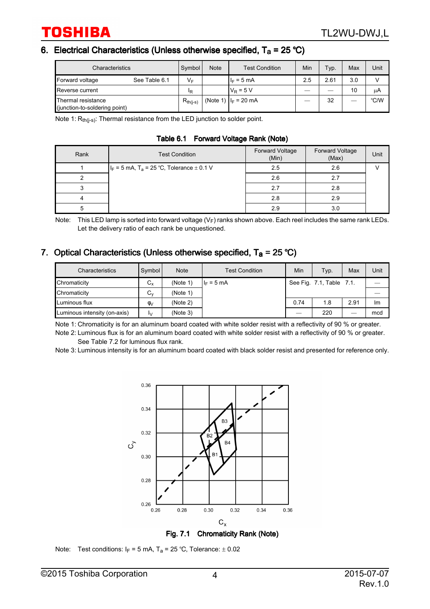#### 6. Electrical Characteristics (Unless otherwise specified,  $T_a$  = 25 °C)

| Characteristics                                     |               | Symbol        | <b>Note</b> | <b>Test Condition</b>   | Min | Typ. | Max | Unit |
|-----------------------------------------------------|---------------|---------------|-------------|-------------------------|-----|------|-----|------|
| Forward voltage                                     | See Table 6.1 | $V_F$         |             | $I_F = 5$ mA            | 2.5 | 2.61 | 3.0 |      |
| Reverse current                                     |               | ΙR            |             | $V_R$ = 5 V             |     |      | 10  | uΑ   |
| Thermal resistance<br>(junction-to-soldering point) |               | $R_{th(i-s)}$ |             | (Note 1) $ I_F = 20$ mA | --- | 32   |     | °C/W |

Note 1: R<sub>th(j-s)</sub>: Thermal resistance from the LED junction to solder point.

Table 6.1 Forward Voltage Rank (Note)

| Rank | <b>Test Condition</b>                                        | Forward Voltage<br>(Min) | Forward Voltage<br>(Max) | Unit |
|------|--------------------------------------------------------------|--------------------------|--------------------------|------|
|      | $ I_F = 5$ mA, T <sub>a</sub> = 25 °C, Tolerance $\pm$ 0.1 V | 2.5                      | 2.6                      |      |
|      |                                                              | 2.6                      |                          |      |
|      |                                                              | 2.7                      | 2.8                      |      |
|      |                                                              | 2.8                      | 2.9                      |      |
|      |                                                              | 2.9                      | 3.0                      |      |

Note: This LED lamp is sorted into forward voltage (V<sub>F</sub>) ranks shown above. Each reel includes the same rank LEDs. Let the delivery ratio of each rank be unquestioned.

### 7. Optical Characteristics (Unless otherwise specified,  $T_a = 25 °C$ )

| Characteristics              | Symbol              | <b>Note</b> | <b>Test Condition</b> | Min                      | Typ.                     | Max  | Unit |
|------------------------------|---------------------|-------------|-----------------------|--------------------------|--------------------------|------|------|
| Chromaticity                 | $C_{x}$             | (Note 1)    | $I_F = 5$ mA          |                          | See Fig. 7.1, Table 7.1. |      |      |
| Chromaticity                 | $C_{v}$             | (Note 1)    |                       |                          |                          |      |      |
| Luminous flux                | $\phi$ <sub>V</sub> | (Note 2)    |                       | 0.74                     | 1.8                      | 2.91 | Im   |
| Luminous intensity (on-axis) | I٧                  | (Note 3)    |                       | $\overline{\phantom{a}}$ | 220                      |      | mcd  |

Note 1: Chromaticity is for an aluminum board coated with white solder resist with a reflectivity of 90 % or greater.

Note 2: Luminous flux is for an aluminum board coated with white solder resist with a reflectivity of 90 % or greater. See Table 7.2 for luminous flux rank.

Note 3: Luminous intensity is for an aluminum board coated with black solder resist and presented for reference only.



Fig. 7.1 Chromaticity Rank (Note)

Note: Test conditions:  $I_F = 5$  mA,  $T_a = 25$  °C, Tolerance:  $\pm$  0.02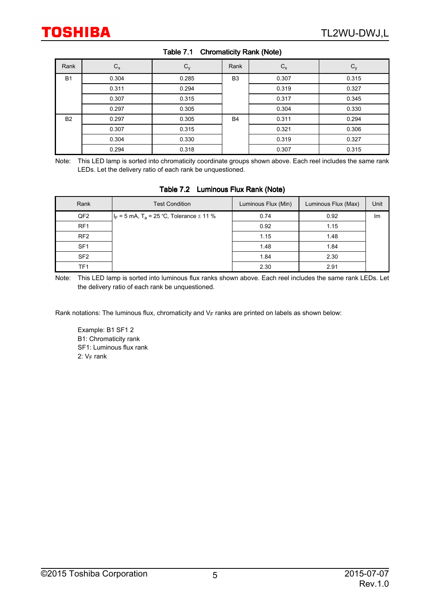| Rank      | $C_{x}$ | $C_{y}$ | Rank           | $C_{x}$ | $\mathsf{v}_{\mathsf{y}}$ |
|-----------|---------|---------|----------------|---------|---------------------------|
| <b>B1</b> | 0.304   | 0.285   | B <sub>3</sub> | 0.307   | 0.315                     |
|           | 0.311   | 0.294   |                | 0.319   | 0.327                     |
|           | 0.307   | 0.315   |                | 0.317   | 0.345                     |
|           | 0.297   | 0.305   |                | 0.304   | 0.330                     |
| <b>B2</b> | 0.297   | 0.305   | B <sub>4</sub> | 0.311   | 0.294                     |
|           | 0.307   | 0.315   |                | 0.321   | 0.306                     |
|           | 0.304   | 0.330   |                | 0.319   | 0.327                     |
|           | 0.294   | 0.318   |                | 0.307   | 0.315                     |

#### Table 7.1 Chromaticity Rank (Note)

Note: This LED lamp is sorted into chromaticity coordinate groups shown above. Each reel includes the same rank LEDs. Let the delivery ratio of each rank be unquestioned.

|                 | $\frac{1}{2}$ , $\frac{1}{2}$ , $\frac{1}{2}$ , $\frac{1}{2}$ , $\frac{1}{2}$ , $\frac{1}{2}$ , $\frac{1}{2}$ , $\frac{1}{2}$ , $\frac{1}{2}$ , $\frac{1}{2}$ , $\frac{1}{2}$ , $\frac{1}{2}$ , $\frac{1}{2}$ |                     |                     |      |  |  |  |  |  |
|-----------------|---------------------------------------------------------------------------------------------------------------------------------------------------------------------------------------------------------------|---------------------|---------------------|------|--|--|--|--|--|
| Rank            | <b>Test Condition</b>                                                                                                                                                                                         | Luminous Flux (Min) | Luminous Flux (Max) | Unit |  |  |  |  |  |
| QF <sub>2</sub> | $ I_F = 5$ mA, T <sub>a</sub> = 25 °C, Tolerance $\pm$ 11 %                                                                                                                                                   | 0.74                | 0.92                | lm   |  |  |  |  |  |
| RF <sub>1</sub> |                                                                                                                                                                                                               | 0.92                | 1.15                |      |  |  |  |  |  |
| RF <sub>2</sub> |                                                                                                                                                                                                               | 1.15                | 1.48                |      |  |  |  |  |  |
| SF <sub>1</sub> |                                                                                                                                                                                                               | 1.48                | 1.84                |      |  |  |  |  |  |
| SF <sub>2</sub> |                                                                                                                                                                                                               | 1.84                | 2.30                |      |  |  |  |  |  |
| TF1             |                                                                                                                                                                                                               | 2.30                | 2.91                |      |  |  |  |  |  |

Table 7.2 Luminous Flux Rank (Note)

Note: This LED lamp is sorted into luminous flux ranks shown above. Each reel includes the same rank LEDs. Let the delivery ratio of each rank be unquestioned.

Rank notations: The luminous flux, chromaticity and V<sub>F</sub> ranks are printed on labels as shown below:

Example: B1 SF1 2 B1: Chromaticity rank SF1: Luminous flux rank 2: V <sup>F</sup> rank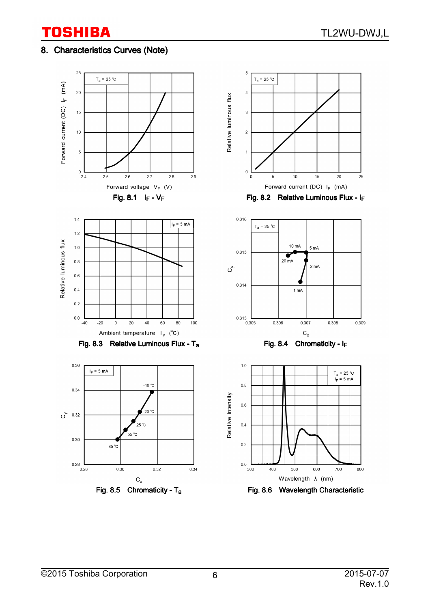# 8. Characteristics Curves (Note)



Fig. 8.6 Wavelength Characteristic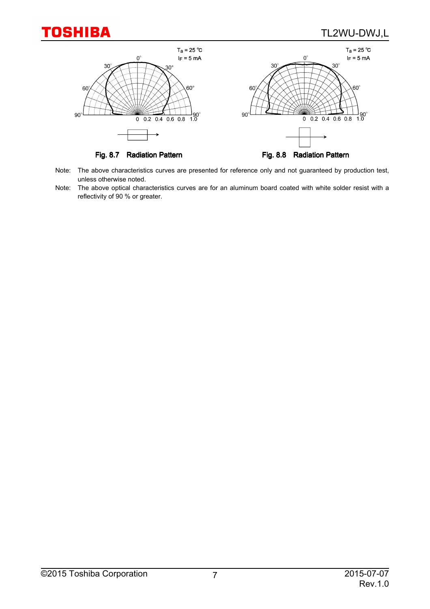## TL2WU-DWJ,L



- Note: The above characteristics curves are presented for reference only and not guaranteed by production test, unless otherwise noted.
- Note: The above optical characteristics curves are for an aluminum board coated with white solder resist with a reflectivity of 90 % or greater.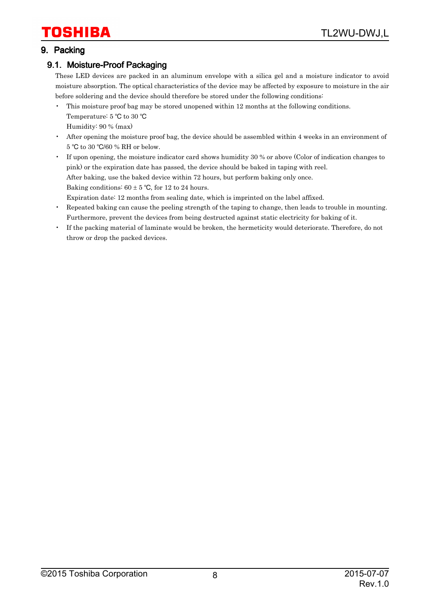#### 9. Packing

#### 9.1. Moisture-Proof Packaging

These LED devices are packed in an aluminum envelope with a silica gel and a moisture indicator to avoid moisture absorption. The optical characteristics of the device may be affected by exposure to moisture in the air before soldering and the device should therefore be stored under the following conditions:

- This moisture proof bag may be stored unopened within 12 months at the following conditions. Temperature: 5 °C to 30 °C Humidity: 90 % (max)
- After opening the moisture proof bag, the device should be assembled within 4 weeks in an environment of 5 °C to 30 °C/60 % RH or below.
- If upon opening, the moisture indicator card shows humidity 30 % or above (Color of indication changes to pink) or the expiration date has passed, the device should be baked in taping with reel. After baking, use the baked device within 72 hours, but perform baking only once. Baking conditions:  $60 \pm 5$  °C, for 12 to 24 hours. Expiration date: 12 months from sealing date, which is imprinted on the label affixed.
- Repeated baking can cause the peeling strength of the taping to change, then leads to trouble in mounting. Furthermore, prevent the devices from being destructed against static electricity for baking of it.
- If the packing material of laminate would be broken, the hermeticity would deteriorate. Therefore, do not throw or drop the packed devices.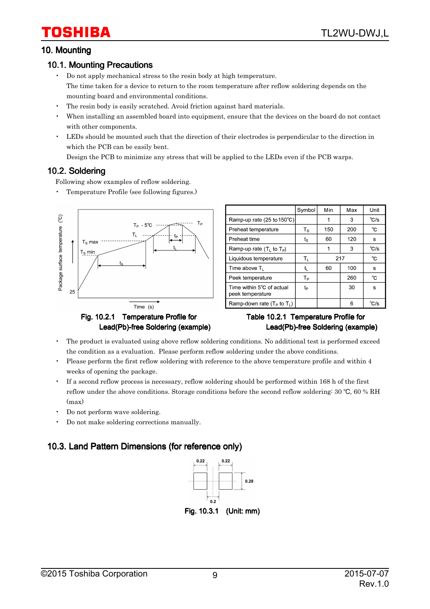#### 10. Mounting

#### 10.1. Mounting Precautions

- Do not apply mechanical stress to the resin body at high temperature. The time taken for a device to return to the room temperature after reflow soldering depends on the mounting board and environmental conditions.
- The resin body is easily scratched. Avoid friction against hard materials.
- When installing an assembled board into equipment, ensure that the devices on the board do not contact with other components.
- LEDs should be mounted such that the direction of their electrodes is perpendicular to the direction in which the PCB can be easily bent.

Design the PCB to minimize any stress that will be applied to the LEDs even if the PCB warps.

#### 10.2. Soldering

Following show examples of reflow soldering.

• Temperature Profile (see following figures.)



|                                               | Symbol                  | Min       | Max | Unit           |
|-----------------------------------------------|-------------------------|-----------|-----|----------------|
| Ramp-up rate (25 to 150°C)                    |                         |           | 3   | $^{\circ}$ C/s |
| Preheat temperature                           | $T_{\rm S}$             | 150       | 200 | °C             |
| Preheat time                                  | $t_{\rm S}$             | 60        | 120 | s              |
| Ramp-up rate $(TL$ to $TP)$                   |                         | 1         | 3   | $^{\circ}$ C/s |
| Liquidous temperature                         | $\mathsf{T}_\mathsf{L}$ | °C<br>217 |     |                |
| Time above T                                  | t,                      | 60        | 100 | s              |
| Peek temperature                              | Tр                      |           | 260 | °C             |
| Time within 5°C of actual<br>peek temperature | tp                      |           | 30  | s              |
| Ramp-down rate ( $T_P$ to $T_I$ )             |                         |           | 6   | $^{\circ}$ C/s |

#### Table 10.2.1 Temperature Profile for Lead(Pb)-free Soldering (example)

- The product is evaluated using above reflow soldering conditions. No additional test is performed exceed the condition as a evaluation. Please perform reflow soldering under the above conditions.
- Please perform the first reflow soldering with reference to the above temperature profile and within 4 weeks of opening the package.
- If a second reflow process is necessary, reflow soldering should be performed within 168 h of the first reflow under the above conditions. Storage conditions before the second reflow soldering: 30 °C, 60 % RH  $(max)$
- Do not perform wave soldering.
- Do not make soldering corrections manually.

### 10.3. Land Pattern Dimensions (for reference only)

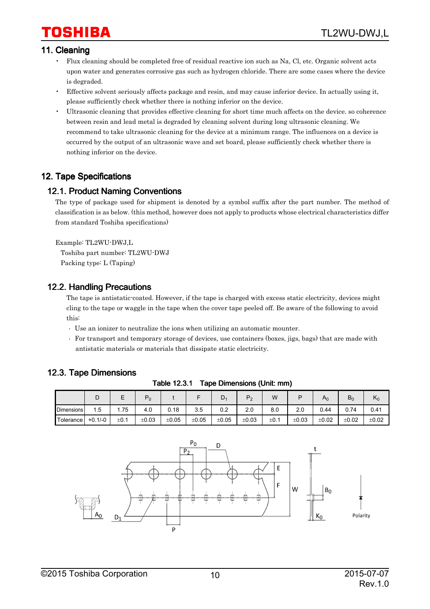# 'OSHIBA

#### 11. Cleaning

- Flux cleaning should be completed free of residual reactive ion such as Na, Cl, etc. Organic solvent acts upon water and generates corrosive gas such as hydrogen chloride. There are some cases where the device is degraded.
- Effective solvent seriously affects package and resin, and may cause inferior device. In actually using it, please sufficiently check whether there is nothing inferior on the device.
- Ultrasonic cleaning that provides effective cleaning for short time much affects on the device. so coherence between resin and lead metal is degraded by cleaning solvent during long ultrasonic cleaning. We recommend to take ultrasonic cleaning for the device at a minimum range. The influences on a device is occurred by the output of an ultrasonic wave and set board, please sufficiently check whether there is nothing inferior on the device.

#### 12. Tape Specifications

#### 12.1. Product Naming Conventions

The type of package used for shipment is denoted by a symbol suffix after the part number. The method of classification is as below. (this method, however does not apply to products whose electrical characteristics differ from standard Toshiba specifications)

Example: TL2WU-DWJ,L Toshiba part number: TL2WU-DWJ Packing type: L (Taping)

#### 12.2. Handling Precautions

The tape is antistatic-coated. However, if the tape is charged with excess static electricity, devices might cling to the tape or waggle in the tape when the cover tape peeled off. Be aware of the following to avoid this:

- Use an ionizer to neutralize the ions when utilizing an automatic mounter.
- For transport and temporary storage of devices, use containers (boxes, jigs, bags) that are made with antistatic materials or materials that dissipate static electricity.

#### 12.3. Tape Dimensions

|            | ◡         | -    | $P_0$ |       |       | D.    | P <sub>2</sub> | W         | D     | $A_0$ | $B_0$      | $n_0$ |
|------------|-----------|------|-------|-------|-------|-------|----------------|-----------|-------|-------|------------|-------|
| Dimensions | 1.5       | l.75 | 4.0   | 0.18  | 3.5   | 0.2   | 2.0            | 8.0       | 2.0   | 0.44  | 0.74       | 0.41  |
| Tolerance  | $+0.1/-0$ | ±0.1 | ±0.03 | ±0.05 | ±0.05 | ±0.05 | ±0.03          | $\pm 0.1$ | ±0.03 | ±0.02 | $\pm 0.02$ | ±0.02 |

Table 12.3.1 Tape Dimensions (Unit: mm)

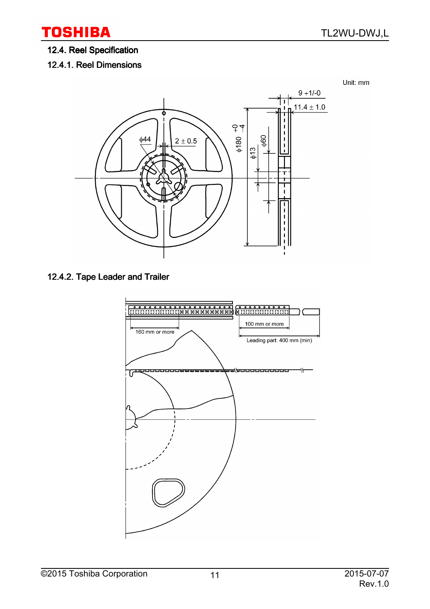## 12.4. Reel Specification

12.4.1. Reel Dimensions



## 12.4.2. Tape Leader and Trailer

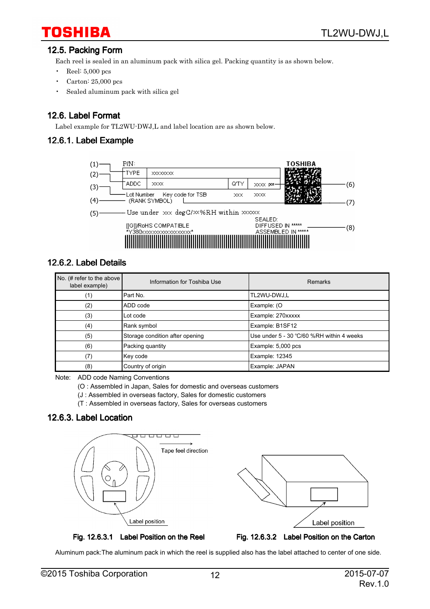#### 12.5. Packing Form

Each reel is sealed in an aluminum pack with silica gel. Packing quantity is as shown below.

- Reel:  $5,000$  pcs
- Carton: 25,000 pcs
- Sealed aluminum pack with silica gel

#### 12.6. Label Format

Label example for TL2WU-DWJ,L and label location are as shown below.

#### 12.6.1. Label Example



#### 12.6.2. Label Details

| No. (# refer to the above $ $<br>label example) | Information for Toshiba Use     | Remarks                                   |  |  |
|-------------------------------------------------|---------------------------------|-------------------------------------------|--|--|
| (1)                                             | l Part No.                      | TL2WU-DWJ,L                               |  |  |
| (2)                                             | ADD code                        | Example: (O                               |  |  |
| (3)                                             | Lot code                        | Example: 270xxxxx                         |  |  |
| (4)                                             | Rank symbol                     | Example: B1SF12                           |  |  |
| (5)                                             | Storage condition after opening | Use under 5 - 30 °C/60 %RH within 4 weeks |  |  |
| (6)                                             | Packing quantity                | Example: 5,000 pcs                        |  |  |
| (7)                                             | Key code                        | Example: 12345                            |  |  |
| (8)                                             | Country of origin               | Example: JAPAN                            |  |  |

Note: ADD code Naming Conventions

(O : Assembled in Japan, Sales for domestic and overseas customers

(J : Assembled in overseas factory, Sales for domestic customers

(T : Assembled in overseas factory, Sales for overseas customers

### 12.6.3. Label Location





Aluminum pack:The aluminum pack in which the reel is supplied also has the label attached to center of one side.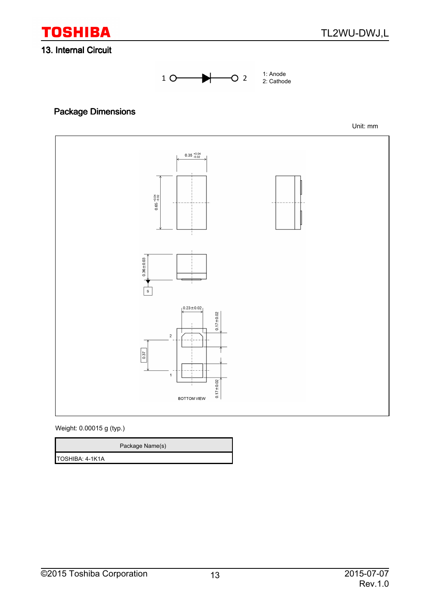

#### 13. Internal Circuit



# Package Dimensions

Unit: mm



Weight: 0.00015 g (typ.)

|                         | Package Name(s) |
|-------------------------|-----------------|
| <b>ITOSHIBA: 4-1K1A</b> |                 |